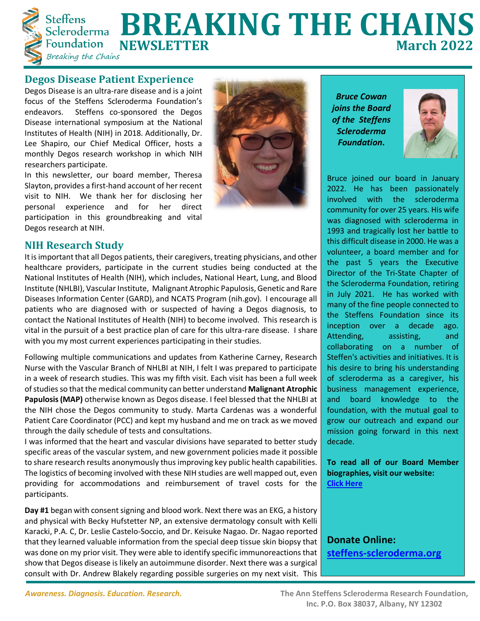

# Steffens **BREAKING THE CHAINS**<br>Foundation NEWSLETTER **Foundation NEWSLETTER**<br>Breaking the Chains

#### **Degos Disease Patient Experience**

Degos Disease is an ultra-rare disease and is a joint focus of the Steffens Scleroderma Foundation's endeavors. Steffens co-sponsored the Degos Disease international symposium at the National Institutes of Health (NIH) in 2018. Additionally, Dr. Lee Shapiro, our Chief Medical Officer, hosts a monthly Degos research workshop in which NIH researchers participate.

In this newsletter, our board member, Theresa Slayton, provides a first-hand account of her recent visit to NIH. We thank her for disclosing her personal experience and for her direct participation in this groundbreaking and vital Degos research at NIH.



### **NIH Research Study**

It is important that all Degos patients, their caregivers, treating physicians, and other healthcare providers, participate in the current studies being conducted at the National Institutes of Health (NIH), which includes, National Heart, Lung, and Blood Institute (NHLBI), Vascular Institute, Malignant Atrophic Papulosis, Genetic and Rare Diseases Information Center (GARD), and NCATS Program (nih.gov). I encourage all patients who are diagnosed with or suspected of having a Degos diagnosis, to contact the National Institutes of Health (NIH) to become involved. This research is vital in the pursuit of a best practice plan of care for this ultra-rare disease. I share with you my most current experiences participating in their studies.

Following multiple communications and updates from Katherine Carney, Research Nurse with the Vascular Branch of NHLBI at NIH, I felt I was prepared to participate in a week of research studies. This was my fifth visit. Each visit has been a full week of studies so that the medical community can better understand **Malignant Atrophic Papulosis (MAP)** otherwise known as Degos disease. I feel blessed that the NHLBI at the NIH chose the Degos community to study. Marta Cardenas was a wonderful Patient Care Coordinator (PCC) and kept my husband and me on track as we moved through the daily schedule of tests and consultations.

I was informed that the heart and vascular divisions have separated to better study specific areas of the vascular system, and new government policies made it possible to share research results anonymously thus improving key public health capabilities. The logistics of becoming involved with these NIH studies are well mapped out, even providing for accommodations and reimbursement of travel costs for the participants.

**Day #1** began with consent signing and blood work. Next there was an EKG, a history and physical with Becky Hufstetter NP, an extensive dermatology consult with Kelli Karacki, P.A. C, Dr. Leslie Castelo-Soccio, and Dr. Keisuke Nagao. Dr. Nagao reported that they learned valuable information from the special deep tissue skin biopsy that was done on my prior visit. They were able to identify specific immunoreactions that show that Degos disease is likely an autoimmune disorder. Next there was a surgical consult with Dr. Andrew Blakely regarding possible surgeries on my next visit. This

*Bruce Cowan joins the Board of the Steffens Scleroderma Foundation***.**



Bruce joined our board in January 2022. He has been passionately involved with the scleroderma community for over 25 years. His wife was diagnosed with scleroderma in 1993 and tragically lost her battle to this difficult disease in 2000. He was a volunteer, a board member and for the past 5 years the Executive Director of the Tri-State Chapter of the Scleroderma Foundation, retiring in July 2021. He has worked with many of the fine people connected to the Steffens Foundation since its inception over a decade ago. Attending, assisting, and collaborating on a number of Steffen's activities and initiatives. It is his desire to bring his understanding of scleroderma as a caregiver, his business management experience, and board knowledge to the foundation, with the mutual goal to grow our outreach and expand our mission going forward in this next decade.

**To read all of our Board Member biographies, visit our website: [Click Here](about:blank)**

**Donate Online: [steffens-scleroderma.org](about:blank)**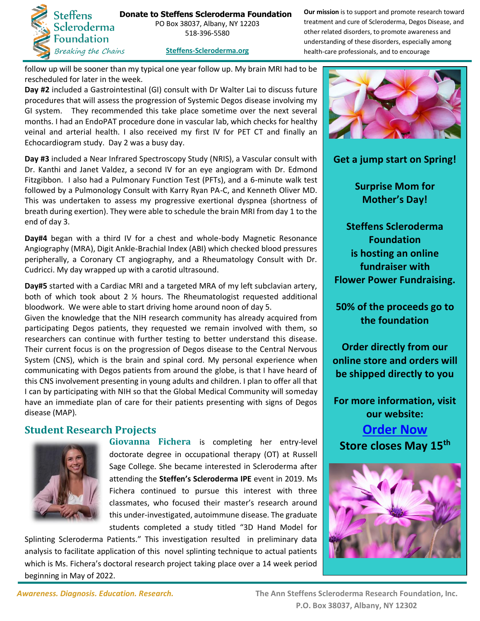

**Donate to Steffens Scleroderma Foundation**  PO Box 38037, Albany, NY 12203 518-396-5580

**Our mission** is to support and promote research toward treatment and cure of Scleroderma, Degos Disease, and other related disorders, to promote awareness and understanding of these disorders, especially among health-care professionals, and to encourage

**[Steffens-Scleroderma.org](about:blank)**

follow up will be sooner than my typical one year follow up. My brain MRI had to be rescheduled for later in the week.

**Day #2** included a Gastrointestinal (GI) consult with Dr Walter Lai to discuss future procedures that will assess the progression of Systemic Degos disease involving my GI system. They recommended this take place sometime over the next several months. I had an EndoPAT procedure done in vascular lab, which checks for healthy veinal and arterial health. I also received my first IV for PET CT and finally an Echocardiogram study. Day 2 was a busy day.

**Day #3** included a Near Infrared Spectroscopy Study (NRIS), a Vascular consult with Dr. Kanthi and Janet Valdez, a second IV for an eye angiogram with Dr. Edmond Fitzgibbon. I also had a Pulmonary Function Test (PFTs), and a 6-minute walk test followed by a Pulmonology Consult with Karry Ryan PA-C, and Kenneth Oliver MD. This was undertaken to assess my progressive exertional dyspnea (shortness of breath during exertion). They were able to schedule the brain MRI from day 1 to the end of day 3.

**Day#4** began with a third IV for a chest and whole-body Magnetic Resonance Angiography (MRA), Digit Ankle-Brachial Index (ABI) which checked blood pressures peripherally, a Coronary CT angiography, and a Rheumatology Consult with Dr. Cudricci. My day wrapped up with a carotid ultrasound.

**Day#5** started with a Cardiac MRI and a targeted MRA of my left subclavian artery, both of which took about 2 ½ hours. The Rheumatologist requested additional bloodwork. We were able to start driving home around noon of day 5.

Given the knowledge that the NIH research community has already acquired from participating Degos patients, they requested we remain involved with them, so researchers can continue with further testing to better understand this disease. Their current focus is on the progression of Degos disease to the Central Nervous System (CNS), which is the brain and spinal cord. My personal experience when communicating with Degos patients from around the globe, is that I have heard of this CNS involvement presenting in young adults and children. I plan to offer all that I can by participating with NIH so that the Global Medical Community will someday have an immediate plan of care for their patients presenting with signs of Degos disease (MAP).

## **Student Research Projects**



**Giovanna Fichera** is completing her entry-level doctorate degree in occupational therapy (OT) at Russell Sage College. She became interested in Scleroderma after attending the **Steffen's Scleroderma IPE** event in 2019. Ms Fichera continued to pursue this interest with three classmates, who focused their master's research around this under-investigated, autoimmune disease. The graduate students completed a study titled "3D Hand Model for

Splinting Scleroderma Patients." This investigation resulted in preliminary data analysis to facilitate application of this novel splinting technique to actual patients which is Ms. Fichera's doctoral research project taking place over a 14 week period beginning in May of 2022.



**Get a jump start on Spring!**

**Surprise Mom for Mother's Day!**

**Steffens Scleroderma Foundation is hosting an online fundraiser with Flower Power Fundraising.**

**50% of the proceeds go to the foundation**

**Order directly from our online store and orders will be shipped directly to you**

**For more information, visit our website:**

**[Order Now](https://www.steffens-scleroderma.org/events/current-fundraisers) Store closes May 15th**